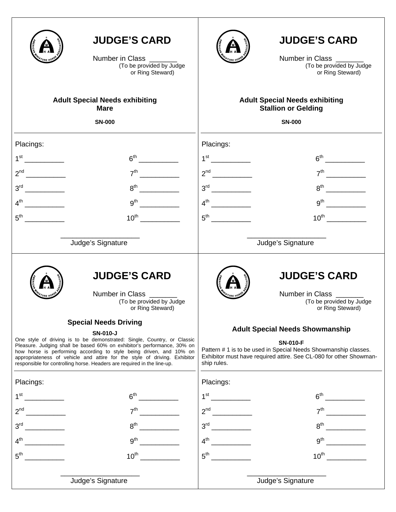|                                                                                                                                                                                                                                                                                                                                                                                                                                      | <b>JUDGE'S CARD</b><br>Number in Class ______<br>(To be provided by Judge<br>or Ring Steward) |                                                                                                                                                                                                                   | <b>JUDGE'S CARD</b><br>Number in Class _______<br>(To be provided by Judge<br>or Ring Steward) |
|--------------------------------------------------------------------------------------------------------------------------------------------------------------------------------------------------------------------------------------------------------------------------------------------------------------------------------------------------------------------------------------------------------------------------------------|-----------------------------------------------------------------------------------------------|-------------------------------------------------------------------------------------------------------------------------------------------------------------------------------------------------------------------|------------------------------------------------------------------------------------------------|
|                                                                                                                                                                                                                                                                                                                                                                                                                                      | <b>Adult Special Needs exhibiting</b><br><b>Mare</b>                                          | <b>Adult Special Needs exhibiting</b><br><b>Stallion or Gelding</b>                                                                                                                                               |                                                                                                |
|                                                                                                                                                                                                                                                                                                                                                                                                                                      | <b>SN-000</b>                                                                                 |                                                                                                                                                                                                                   | <b>SN-000</b>                                                                                  |
| Placings:                                                                                                                                                                                                                                                                                                                                                                                                                            |                                                                                               | Placings:                                                                                                                                                                                                         |                                                                                                |
|                                                                                                                                                                                                                                                                                                                                                                                                                                      |                                                                                               |                                                                                                                                                                                                                   |                                                                                                |
|                                                                                                                                                                                                                                                                                                                                                                                                                                      | 7 <sup>th</sup>                                                                               |                                                                                                                                                                                                                   |                                                                                                |
| $3^{\text{rd}}$                                                                                                                                                                                                                                                                                                                                                                                                                      | $8^{\text{th}}$                                                                               |                                                                                                                                                                                                                   | $8th$ 2008                                                                                     |
| $4^{\text{th}}$                                                                                                                                                                                                                                                                                                                                                                                                                      | 9 <sup>th</sup>                                                                               |                                                                                                                                                                                                                   | 9 <sup>th</sup>                                                                                |
| 5 <sup>th</sup>                                                                                                                                                                                                                                                                                                                                                                                                                      | $10^{\text{th}}$                                                                              | 5 <sup>th</sup>                                                                                                                                                                                                   | $10^{\text{th}}$                                                                               |
| Judge's Signature                                                                                                                                                                                                                                                                                                                                                                                                                    |                                                                                               | Judge's Signature                                                                                                                                                                                                 |                                                                                                |
|                                                                                                                                                                                                                                                                                                                                                                                                                                      | <b>JUDGE'S CARD</b><br>Number in Class ______<br>(To be provided by Judge<br>or Ring Steward) |                                                                                                                                                                                                                   | <b>JUDGE'S CARD</b><br>Number in Class<br>(To be provided by Judge<br>or Ring Steward)         |
| <b>Special Needs Driving</b><br><b>SN-010-J</b><br>One style of driving is to be demonstrated: Single, Country, or Classic<br>Pleasure. Judging shall be based 60% on exhibitor's performance, 30% on<br>how horse is performing according to style being driven, and 10% on<br>appropriateness of vehicle and attire for the style of driving. Exhibitor<br>responsible for controlling horse. Headers are required in the line-up. |                                                                                               | <b>Adult Special Needs Showmanship</b><br><b>SN-010-F</b><br>Pattern # 1 is to be used in Special Needs Showmanship classes.<br>Exhibitor must have required attire. See CL-080 for other Showman-<br>ship rules. |                                                                                                |
| Placings:                                                                                                                                                                                                                                                                                                                                                                                                                            |                                                                                               | Placings:                                                                                                                                                                                                         |                                                                                                |
| $1^{\rm st}$                                                                                                                                                                                                                                                                                                                                                                                                                         | 6 <sup>th</sup>                                                                               |                                                                                                                                                                                                                   | 6 <sup>th</sup>                                                                                |
| $\overline{\phantom{a}}$<br>$2^{nd}$                                                                                                                                                                                                                                                                                                                                                                                                 | $7^{\mathsf{th}}$                                                                             | 2 <sup>nd</sup>                                                                                                                                                                                                   | 7 <sup>th</sup>                                                                                |
| $\overline{\phantom{a}}$<br>3 <sup>rd</sup>                                                                                                                                                                                                                                                                                                                                                                                          | $8^{\text{th}}$                                                                               |                                                                                                                                                                                                                   | $8^{\text{th}}$                                                                                |
| $4^{\text{th}}$                                                                                                                                                                                                                                                                                                                                                                                                                      | 9 <sup>th</sup>                                                                               |                                                                                                                                                                                                                   | 9 <sup>th</sup>                                                                                |
| $5^{\text{th}}$                                                                                                                                                                                                                                                                                                                                                                                                                      | $10^{\text{th}}$                                                                              | $5^{\text{th}}$                                                                                                                                                                                                   | $10^{\text{th}}$                                                                               |
|                                                                                                                                                                                                                                                                                                                                                                                                                                      | Judge's Signature                                                                             |                                                                                                                                                                                                                   | Judge's Signature                                                                              |